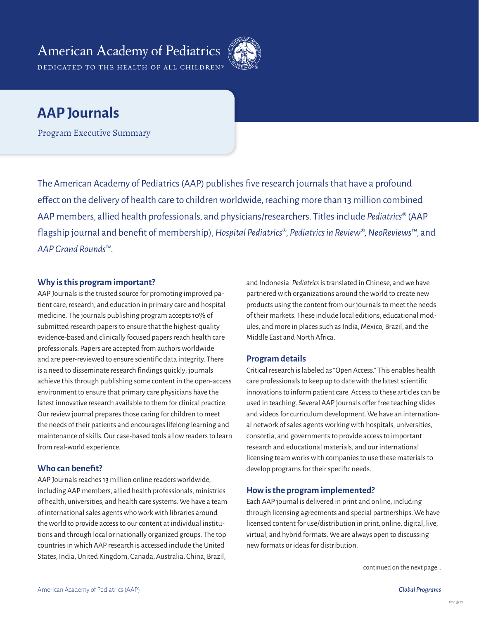## **American Academy of Pediatrics** DEDICATED TO THE HEALTH OF ALL CHILDREN®



# **AAP Journals**

Program Executive Summary

The American Academy of Pediatrics (AAP) publishes five research journals that have a profound effect on the delivery of health care to children worldwide, reaching more than 13 million combined AAP members, allied health professionals, and physicians/researchers. Titles include *Pediatrics*® (AAP flagship journal and benefit of membership), *Hospital Pediatrics*®, *Pediatrics in Review*®, *NeoReviews*™, and *AAP Grand Rounds*™.

### **Why is this program important?**

AAP Journals is the trusted source for promoting improved patient care, research, and education in primary care and hospital medicine. The journals publishing program accepts 10% of submitted research papers to ensure that the highest-quality evidence-based and clinically focused papers reach health care professionals. Papers are accepted from authors worldwide and are peer-reviewed to ensure scientific data integrity. There is a need to disseminate research findings quickly; journals achieve this through publishing some content in the open-access environment to ensure that primary care physicians have the latest innovative research available to them for clinical practice. Our review journal prepares those caring for children to meet the needs of their patients and encourages lifelong learning and maintenance of skills. Our case-based tools allow readers to learn from real-world experience.

### **Who can benefit?**

AAP Journals reaches 13 million online readers worldwide, including AAP members, allied health professionals, ministries of health, universities, and health care systems. We have a team of international sales agents who work with libraries around the world to provide access to our content at individual institutions and through local or nationally organized groups. The top countries in which AAP research is accessed include the United States, India, United Kingdom, Canada, Australia, China, Brazil,

and Indonesia. *Pediatrics* is translated in Chinese, and we have partnered with organizations around the world to create new products using the content from our journals to meet the needs of their markets. These include local editions, educational modules, and more in places such as India, Mexico, Brazil, and the Middle East and North Africa.

### **Program details**

Critical research is labeled as "Open Access." This enables health care professionals to keep up to date with the latest scientific innovations to inform patient care. Access to these articles can be used in teaching. Several AAP journals offer free teaching slides and videos for curriculum development. We have an international network of sales agents working with hospitals, universities, consortia, and governments to provide access to important research and educational materials, and our international licensing team works with companies to use these materials to develop programs for their specific needs.

### **How is the program implemented?**

Each AAP journal is delivered in print and online, including through licensing agreements and special partnerships. We have licensed content for use/distribution in print, online, digital, live, virtual, and hybrid formats. We are always open to discussing new formats or ideas for distribution.

continued on the next page…